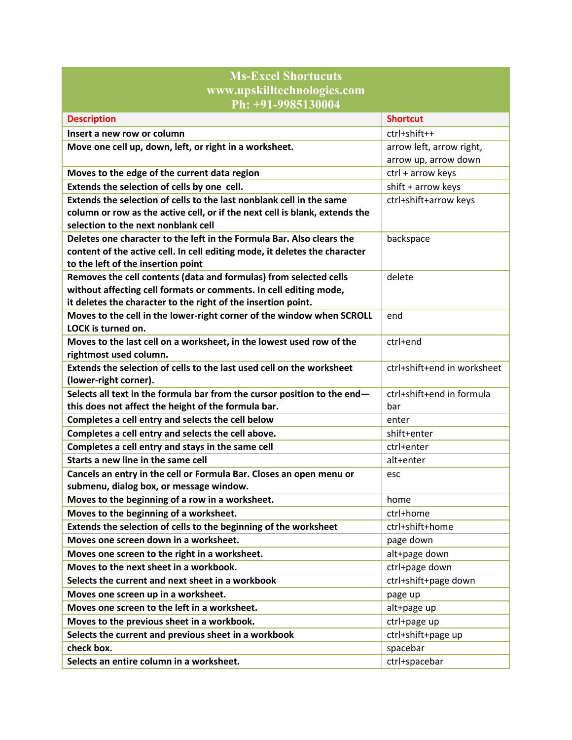| <b>Ms-Excel Shortucuts</b>                                                                     |                             |
|------------------------------------------------------------------------------------------------|-----------------------------|
| www.upskilltechnologies.com                                                                    |                             |
| Ph: +91-9985130004                                                                             |                             |
| <b>Description</b>                                                                             | <b>Shortcut</b>             |
| Insert a new row or column                                                                     | ctrl+shift++                |
| Move one cell up, down, left, or right in a worksheet.                                         | arrow left, arrow right,    |
|                                                                                                | arrow up, arrow down        |
| Moves to the edge of the current data region                                                   | ctrl + arrow keys           |
| Extends the selection of cells by one cell.                                                    | shift + arrow keys          |
| Extends the selection of cells to the last nonblank cell in the same                           | ctrl+shift+arrow keys       |
| column or row as the active cell, or if the next cell is blank, extends the                    |                             |
| selection to the next nonblank cell                                                            |                             |
| Deletes one character to the left in the Formula Bar. Also clears the                          | backspace                   |
| content of the active cell. In cell editing mode, it deletes the character                     |                             |
| to the left of the insertion point                                                             |                             |
| Removes the cell contents (data and formulas) from selected cells                              | delete                      |
| without affecting cell formats or comments. In cell editing mode,                              |                             |
| it deletes the character to the right of the insertion point.                                  |                             |
| Moves to the cell in the lower-right corner of the window when SCROLL                          | end                         |
| LOCK is turned on.                                                                             |                             |
| Moves to the last cell on a worksheet, in the lowest used row of the<br>rightmost used column. | ctrl+end                    |
| Extends the selection of cells to the last used cell on the worksheet                          | ctrl+shift+end in worksheet |
| (lower-right corner).                                                                          |                             |
| Selects all text in the formula bar from the cursor position to the end-                       | ctrl+shift+end in formula   |
| this does not affect the height of the formula bar.                                            | bar                         |
| Completes a cell entry and selects the cell below                                              | enter                       |
| Completes a cell entry and selects the cell above.                                             | shift+enter                 |
| Completes a cell entry and stays in the same cell                                              | ctrl+enter                  |
| Starts a new line in the same cell                                                             | alt+enter                   |
| Cancels an entry in the cell or Formula Bar. Closes an open menu or                            | esc                         |
| submenu, dialog box, or message window.                                                        |                             |
| Moves to the beginning of a row in a worksheet.                                                | home                        |
| Moves to the beginning of a worksheet.                                                         | ctrl+home                   |
| Extends the selection of cells to the beginning of the worksheet                               | ctrl+shift+home             |
| Moves one screen down in a worksheet.                                                          | page down                   |
| Moves one screen to the right in a worksheet.                                                  | alt+page down               |
| Moves to the next sheet in a workbook.                                                         | ctrl+page down              |
| Selects the current and next sheet in a workbook                                               | ctrl+shift+page down        |
| Moves one screen up in a worksheet.                                                            | page up                     |
| Moves one screen to the left in a worksheet.                                                   | alt+page up                 |
| Moves to the previous sheet in a workbook.                                                     | ctrl+page up                |
| Selects the current and previous sheet in a workbook                                           | ctrl+shift+page up          |
| check box.                                                                                     | spacebar                    |
| Selects an entire column in a worksheet.                                                       | ctrl+spacebar               |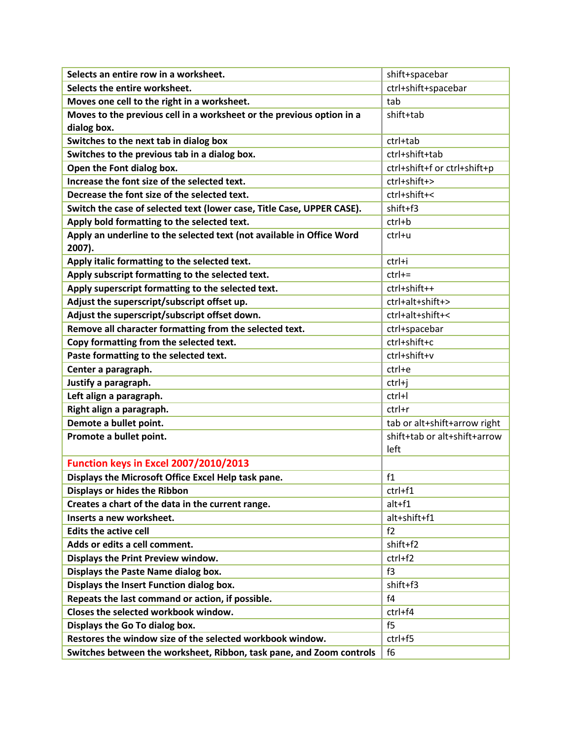| Selects an entire row in a worksheet.                                           | shift+spacebar               |
|---------------------------------------------------------------------------------|------------------------------|
| Selects the entire worksheet.                                                   | ctrl+shift+spacebar          |
| Moves one cell to the right in a worksheet.                                     | tab                          |
| Moves to the previous cell in a worksheet or the previous option in a           | shift+tab                    |
| dialog box.                                                                     |                              |
| Switches to the next tab in dialog box                                          | ctrl+tab                     |
| Switches to the previous tab in a dialog box.                                   | ctrl+shift+tab               |
| Open the Font dialog box.                                                       | ctrl+shift+f or ctrl+shift+p |
| Increase the font size of the selected text.                                    | ctrl+shift+>                 |
| Decrease the font size of the selected text.                                    | ctrl+shift+<                 |
| Switch the case of selected text (lower case, Title Case, UPPER CASE).          | shift+f3                     |
| Apply bold formatting to the selected text.                                     | $ctrl + b$                   |
| Apply an underline to the selected text (not available in Office Word<br>2007). | ctrl+u                       |
| Apply italic formatting to the selected text.                                   | ctrl+i                       |
| Apply subscript formatting to the selected text.                                | $ctrl +=$                    |
| Apply superscript formatting to the selected text.                              | ctrl+shift++                 |
| Adjust the superscript/subscript offset up.                                     | ctrl+alt+shift+>             |
| Adjust the superscript/subscript offset down.                                   | ctrl+alt+shift+<             |
| Remove all character formatting from the selected text.                         | ctrl+spacebar                |
| Copy formatting from the selected text.                                         | ctrl+shift+c                 |
| Paste formatting to the selected text.                                          | ctrl+shift+v                 |
| Center a paragraph.                                                             | ctrl+e                       |
| Justify a paragraph.                                                            | ctrl+j                       |
| Left align a paragraph.                                                         | ctrl+l                       |
| Right align a paragraph.                                                        | ctrl+r                       |
| Demote a bullet point.                                                          | tab or alt+shift+arrow right |
| Promote a bullet point.                                                         | shift+tab or alt+shift+arrow |
|                                                                                 | left                         |
| <b>Function keys in Excel 2007/2010/2013</b>                                    |                              |
| Displays the Microsoft Office Excel Help task pane.                             | f1                           |
| <b>Displays or hides the Ribbon</b>                                             | ctrl+f1                      |
| Creates a chart of the data in the current range.                               | alt+f1                       |
| Inserts a new worksheet.                                                        | alt+shift+f1                 |
| <b>Edits the active cell</b>                                                    | f2                           |
| Adds or edits a cell comment.                                                   | shift+f2                     |
| Displays the Print Preview window.                                              | ctrl+f2                      |
| Displays the Paste Name dialog box.                                             | f3                           |
| Displays the Insert Function dialog box.                                        | shift+f3                     |
| Repeats the last command or action, if possible.                                | f <sub>4</sub>               |
| Closes the selected workbook window.                                            | ctrl+f4                      |
| Displays the Go To dialog box.                                                  | f5                           |
| Restores the window size of the selected workbook window.                       | ctrl+f5                      |
| Switches between the worksheet, Ribbon, task pane, and Zoom controls            | f6                           |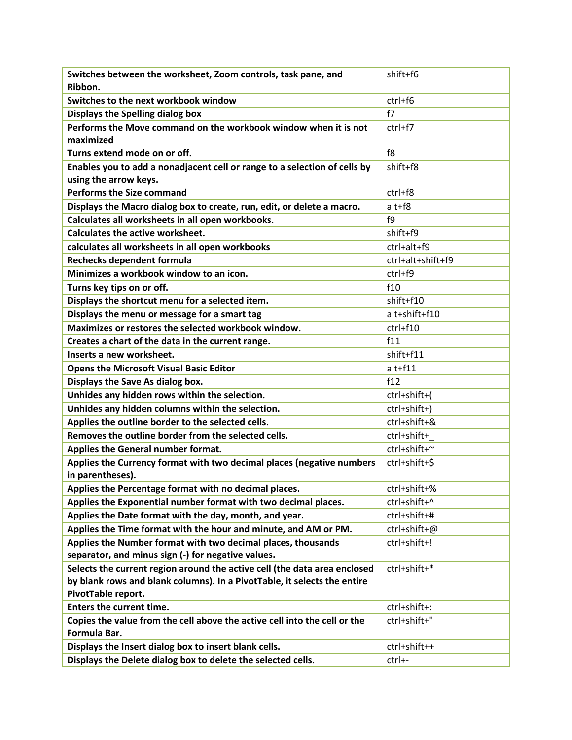| Switches between the worksheet, Zoom controls, task pane, and                             | shift+f6          |
|-------------------------------------------------------------------------------------------|-------------------|
| Ribbon.                                                                                   |                   |
| Switches to the next workbook window                                                      | ctrl+f6           |
| Displays the Spelling dialog box                                                          | f7                |
| Performs the Move command on the workbook window when it is not                           | $ctrl+f7$         |
| maximized                                                                                 |                   |
| Turns extend mode on or off.                                                              | f8                |
| Enables you to add a nonadjacent cell or range to a selection of cells by                 | shift+f8          |
| using the arrow keys.                                                                     |                   |
| <b>Performs the Size command</b>                                                          | ctrl+f8           |
| Displays the Macro dialog box to create, run, edit, or delete a macro.                    | alt+f8            |
| Calculates all worksheets in all open workbooks.                                          | f9                |
| <b>Calculates the active worksheet.</b>                                                   | shift+f9          |
| calculates all worksheets in all open workbooks                                           | ctrl+alt+f9       |
| Rechecks dependent formula                                                                | ctrl+alt+shift+f9 |
| Minimizes a workbook window to an icon.                                                   | ctrl+f9           |
| Turns key tips on or off.                                                                 | f10               |
| Displays the shortcut menu for a selected item.                                           | shift+f10         |
| Displays the menu or message for a smart tag                                              | alt+shift+f10     |
| Maximizes or restores the selected workbook window.                                       | ctrl+f10          |
| Creates a chart of the data in the current range.                                         | f11               |
| Inserts a new worksheet.                                                                  | shift+f11         |
| <b>Opens the Microsoft Visual Basic Editor</b>                                            | $alt + f11$       |
| Displays the Save As dialog box.                                                          | f12               |
| Unhides any hidden rows within the selection.                                             | ctrl+shift+(      |
| Unhides any hidden columns within the selection.                                          | ctrl+shift+)      |
| Applies the outline border to the selected cells.                                         | ctrl+shift+&      |
| Removes the outline border from the selected cells.                                       | ctrl+shift+       |
| Applies the General number format.                                                        | ctrl+shift+~      |
| Applies the Currency format with two decimal places (negative numbers                     | ctrl+shift+\$     |
| in parentheses).                                                                          |                   |
| Applies the Percentage format with no decimal places.                                     | ctrl+shift+%      |
| Applies the Exponential number format with two decimal places.                            | ctrl+shift+^      |
| Applies the Date format with the day, month, and year.                                    | ctrl+shift+#      |
| Applies the Time format with the hour and minute, and AM or PM.                           | ctrl+shift+@      |
| Applies the Number format with two decimal places, thousands                              | ctrl+shift+!      |
| separator, and minus sign (-) for negative values.                                        |                   |
| Selects the current region around the active cell (the data area enclosed                 | ctrl+shift+*      |
| by blank rows and blank columns). In a PivotTable, it selects the entire                  |                   |
| PivotTable report.                                                                        |                   |
| <b>Enters the current time.</b>                                                           | ctrl+shift+:      |
| Copies the value from the cell above the active cell into the cell or the<br>Formula Bar. | ctrl+shift+"      |
| Displays the Insert dialog box to insert blank cells.                                     | ctrl+shift++      |
| Displays the Delete dialog box to delete the selected cells.                              | ctrl+-            |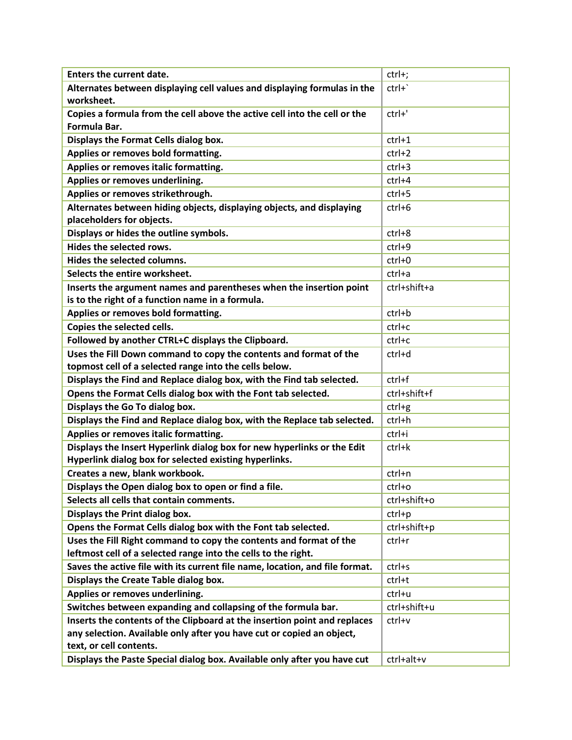| <b>Enters the current date.</b>                                                                                             | ctrl+;       |
|-----------------------------------------------------------------------------------------------------------------------------|--------------|
| Alternates between displaying cell values and displaying formulas in the                                                    | $ctrl +$     |
| worksheet.                                                                                                                  |              |
| Copies a formula from the cell above the active cell into the cell or the                                                   | ctrl+'       |
| Formula Bar.                                                                                                                |              |
| Displays the Format Cells dialog box.                                                                                       | $ctrl+1$     |
| Applies or removes bold formatting.                                                                                         | $ctrl+2$     |
| Applies or removes italic formatting.                                                                                       | $ctrl+3$     |
| Applies or removes underlining.                                                                                             | ctrl+4       |
| Applies or removes strikethrough.                                                                                           | $ctrl+5$     |
| Alternates between hiding objects, displaying objects, and displaying                                                       | ctrl+6       |
| placeholders for objects.                                                                                                   |              |
| Displays or hides the outline symbols.                                                                                      | ctrl+8       |
| Hides the selected rows.                                                                                                    | $ctrl+9$     |
| Hides the selected columns.                                                                                                 | ctrl+0       |
| Selects the entire worksheet.                                                                                               | ctrl+a       |
| Inserts the argument names and parentheses when the insertion point                                                         | ctrl+shift+a |
| is to the right of a function name in a formula.                                                                            |              |
| Applies or removes bold formatting.                                                                                         | ctrl+b       |
| Copies the selected cells.                                                                                                  | ctrl+c       |
| Followed by another CTRL+C displays the Clipboard.                                                                          | ctrl+c       |
| Uses the Fill Down command to copy the contents and format of the<br>topmost cell of a selected range into the cells below. | ctrl+d       |
| Displays the Find and Replace dialog box, with the Find tab selected.                                                       | ctrl+f       |
| Opens the Format Cells dialog box with the Font tab selected.                                                               | ctrl+shift+f |
| Displays the Go To dialog box.                                                                                              | $ctrl+g$     |
| Displays the Find and Replace dialog box, with the Replace tab selected.                                                    | ctrl+h       |
| Applies or removes italic formatting.                                                                                       | ctrl+i       |
| Displays the Insert Hyperlink dialog box for new hyperlinks or the Edit                                                     | ctrl+k       |
| Hyperlink dialog box for selected existing hyperlinks.                                                                      |              |
| Creates a new, blank workbook.                                                                                              | ctrl+n       |
| Displays the Open dialog box to open or find a file.                                                                        | ctrl+o       |
| Selects all cells that contain comments.                                                                                    | ctrl+shift+o |
| Displays the Print dialog box.                                                                                              | $ctrl + p$   |
| Opens the Format Cells dialog box with the Font tab selected.                                                               | ctrl+shift+p |
| Uses the Fill Right command to copy the contents and format of the                                                          | ctrl+r       |
| leftmost cell of a selected range into the cells to the right.                                                              |              |
| Saves the active file with its current file name, location, and file format.                                                | ctrl+s       |
| Displays the Create Table dialog box.                                                                                       | ctrl+t       |
| Applies or removes underlining.                                                                                             | ctrl+u       |
| Switches between expanding and collapsing of the formula bar.                                                               | ctrl+shift+u |
| Inserts the contents of the Clipboard at the insertion point and replaces                                                   | ctrl+v       |
| any selection. Available only after you have cut or copied an object,                                                       |              |
| text, or cell contents.                                                                                                     |              |
| Displays the Paste Special dialog box. Available only after you have cut                                                    | ctrl+alt+v   |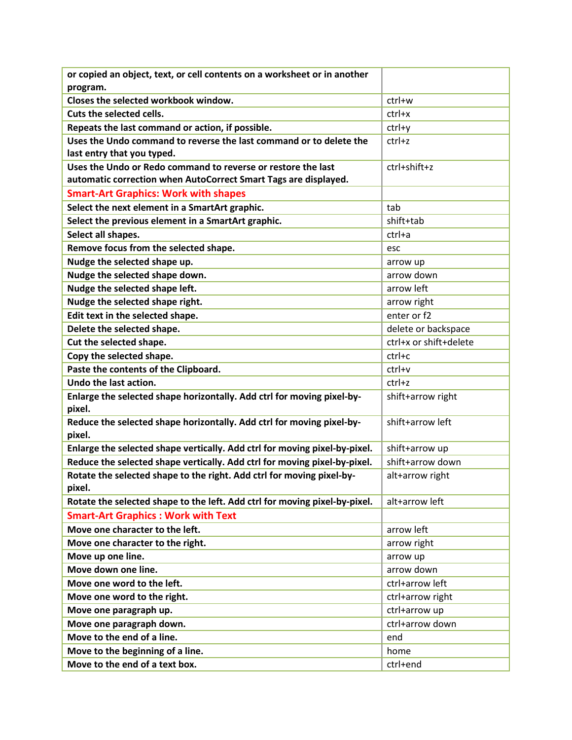| or copied an object, text, or cell contents on a worksheet or in another   |                        |
|----------------------------------------------------------------------------|------------------------|
| program.                                                                   |                        |
| Closes the selected workbook window.                                       | ctrl+w                 |
| Cuts the selected cells.                                                   | $ctrl+ x$              |
| Repeats the last command or action, if possible.                           | ctrl+y                 |
| Uses the Undo command to reverse the last command or to delete the         | ctrl+z                 |
| last entry that you typed.                                                 |                        |
| Uses the Undo or Redo command to reverse or restore the last               | ctrl+shift+z           |
| automatic correction when AutoCorrect Smart Tags are displayed.            |                        |
| <b>Smart-Art Graphics: Work with shapes</b>                                |                        |
| Select the next element in a SmartArt graphic.                             | tab                    |
| Select the previous element in a SmartArt graphic.                         | shift+tab              |
| Select all shapes.                                                         | ctrl+a                 |
| Remove focus from the selected shape.                                      | esc                    |
| Nudge the selected shape up.                                               | arrow up               |
| Nudge the selected shape down.                                             | arrow down             |
| Nudge the selected shape left.                                             | arrow left             |
| Nudge the selected shape right.                                            | arrow right            |
| Edit text in the selected shape.                                           | enter or f2            |
| Delete the selected shape.                                                 | delete or backspace    |
| Cut the selected shape.                                                    | ctrl+x or shift+delete |
| Copy the selected shape.                                                   | ctrl+c                 |
| Paste the contents of the Clipboard.                                       | ctrl+v                 |
| Undo the last action.                                                      | ctrl+z                 |
| Enlarge the selected shape horizontally. Add ctrl for moving pixel-by-     | shift+arrow right      |
| pixel.                                                                     |                        |
| Reduce the selected shape horizontally. Add ctrl for moving pixel-by-      | shift+arrow left       |
| pixel.                                                                     |                        |
| Enlarge the selected shape vertically. Add ctrl for moving pixel-by-pixel. | shift+arrow up         |
| Reduce the selected shape vertically. Add ctrl for moving pixel-by-pixel.  | shift+arrow down       |
| Rotate the selected shape to the right. Add ctrl for moving pixel-by-      | alt+arrow right        |
| pixel.                                                                     |                        |
| Rotate the selected shape to the left. Add ctrl for moving pixel-by-pixel. | alt+arrow left         |
| <b>Smart-Art Graphics: Work with Text</b>                                  |                        |
| Move one character to the left.                                            | arrow left             |
| Move one character to the right.                                           | arrow right            |
| Move up one line.                                                          | arrow up               |
| Move down one line.                                                        | arrow down             |
| Move one word to the left.                                                 | ctrl+arrow left        |
| Move one word to the right.                                                | ctrl+arrow right       |
| Move one paragraph up.                                                     | ctrl+arrow up          |
| Move one paragraph down.                                                   | ctrl+arrow down        |
| Move to the end of a line.                                                 | end                    |
| Move to the beginning of a line.                                           | home                   |
| Move to the end of a text box.                                             | ctrl+end               |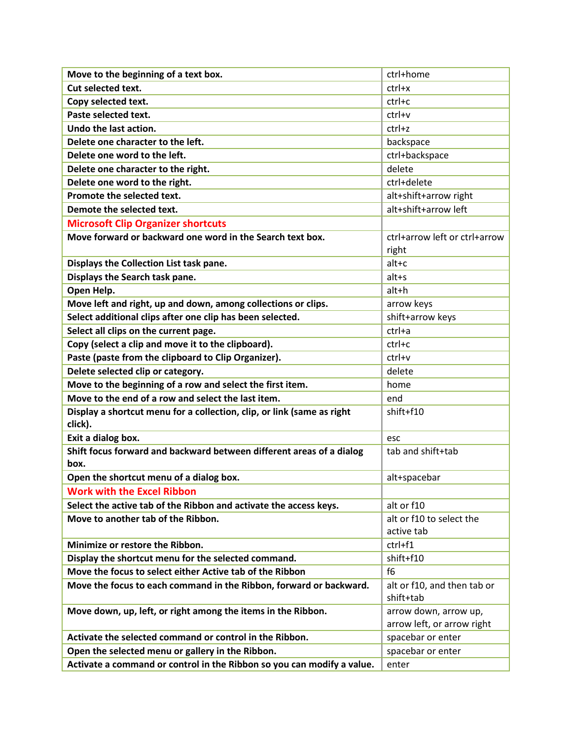| Move to the beginning of a text box.                                              | ctrl+home                                           |
|-----------------------------------------------------------------------------------|-----------------------------------------------------|
| Cut selected text.                                                                | $ctrl+x$                                            |
| Copy selected text.                                                               | ctrl+c                                              |
| Paste selected text.                                                              | ctrl+v                                              |
| Undo the last action.                                                             | ctrl+z                                              |
| Delete one character to the left.                                                 | backspace                                           |
| Delete one word to the left.                                                      | ctrl+backspace                                      |
| Delete one character to the right.                                                | delete                                              |
| Delete one word to the right.                                                     | ctrl+delete                                         |
| Promote the selected text.                                                        | alt+shift+arrow right                               |
| Demote the selected text.                                                         | alt+shift+arrow left                                |
| <b>Microsoft Clip Organizer shortcuts</b>                                         |                                                     |
| Move forward or backward one word in the Search text box.                         | ctrl+arrow left or ctrl+arrow                       |
|                                                                                   | right                                               |
| Displays the Collection List task pane.                                           | $alt + c$                                           |
| Displays the Search task pane.                                                    | $alt+s$                                             |
| Open Help.                                                                        | alt+h                                               |
| Move left and right, up and down, among collections or clips.                     | arrow keys                                          |
| Select additional clips after one clip has been selected.                         | shift+arrow keys                                    |
| Select all clips on the current page.                                             | ctrl+a                                              |
| Copy (select a clip and move it to the clipboard).                                | ctrl+c                                              |
| Paste (paste from the clipboard to Clip Organizer).                               | ctrl+v                                              |
| Delete selected clip or category.                                                 | delete                                              |
| Move to the beginning of a row and select the first item.                         | home                                                |
| Move to the end of a row and select the last item.                                | end                                                 |
| Display a shortcut menu for a collection, clip, or link (same as right<br>click). | shift+f10                                           |
| Exit a dialog box.                                                                | esc                                                 |
| Shift focus forward and backward between different areas of a dialog<br>box.      | tab and shift+tab                                   |
| Open the shortcut menu of a dialog box.                                           | alt+spacebar                                        |
| <b>Work with the Excel Ribbon</b>                                                 |                                                     |
| Select the active tab of the Ribbon and activate the access keys.                 | alt or f10                                          |
| Move to another tab of the Ribbon.                                                | alt or f10 to select the                            |
|                                                                                   | active tab                                          |
| Minimize or restore the Ribbon.                                                   | ctrl+f1                                             |
| Display the shortcut menu for the selected command.                               | shift+f10                                           |
| Move the focus to select either Active tab of the Ribbon                          | f <sub>6</sub>                                      |
| Move the focus to each command in the Ribbon, forward or backward.                | alt or f10, and then tab or<br>shift+tab            |
| Move down, up, left, or right among the items in the Ribbon.                      | arrow down, arrow up,<br>arrow left, or arrow right |
| Activate the selected command or control in the Ribbon.                           | spacebar or enter                                   |
| Open the selected menu or gallery in the Ribbon.                                  | spacebar or enter                                   |
| Activate a command or control in the Ribbon so you can modify a value.            | enter                                               |